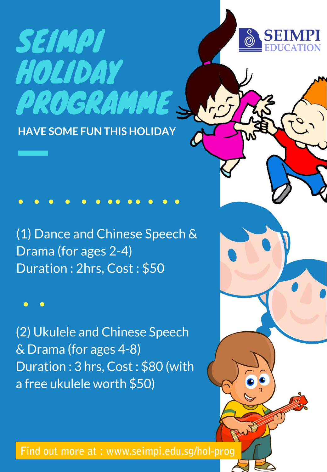## SEIMPI HOLIDAY PROGRAMME **HAVE SOME FUN THIS HOLIDAY**

(1) Dance and Chinese Speech & Drama (for ages 2-4) Duration: 2hrs, Cost: \$50

(2) Ukulele and Chinese Speech & Drama (for ages 4-8) Duration: 3 hrs, Cost: \$80 (with a free ukulele worth \$50)

Find out more at: www.seimpi.edu.sg/hol-prog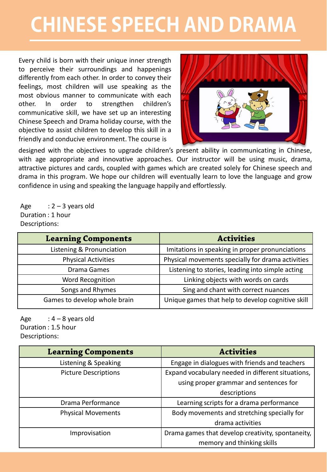## **CHINESE SPEECH AND DRAMA**

Every child is born with their unique inner strength to perceive their surroundings and happenings differently from each other. In order to convey their feelings, most children will use speaking as the most obvious manner to communicate with each other. In order to strengthen children's communicative skill, we have set up an interesting Chinese Speech and Drama holiday course, with the objective to assist children to develop this skill in a friendly and conducive environment. The course is



designed with the objectives to upgrade children's present ability in communicating in Chinese, with age appropriate and innovative approaches. Our instructor will be using music, drama, attractive pictures and cards, coupled with games which are created solely for Chinese speech and drama in this program. We hope our children will eventually learn to love the language and grow confidence in using and speaking the language happily and effortlessly.

Age  $: 2 - 3$  years old Duration : 1 hour Descriptions:

| <b>Learning Components</b>   | <b>Activities</b>                                 |
|------------------------------|---------------------------------------------------|
| Listening & Pronunciation    | Imitations in speaking in proper pronunciations   |
| <b>Physical Activities</b>   | Physical movements specially for drama activities |
| Drama Games                  | Listening to stories, leading into simple acting  |
| Word Recognition             | Linking objects with words on cards               |
| Songs and Rhymes             | Sing and chant with correct nuances               |
| Games to develop whole brain | Unique games that help to develop cognitive skill |

Age  $: 4 - 8$  years old Duration : 1.5 hour Descriptions:

| <b>Learning Components</b>  | <b>Activities</b>                                 |
|-----------------------------|---------------------------------------------------|
| Listening & Speaking        | Engage in dialogues with friends and teachers     |
| <b>Picture Descriptions</b> | Expand vocabulary needed in different situations, |
|                             | using proper grammar and sentences for            |
|                             | descriptions                                      |
| Drama Performance           | Learning scripts for a drama performance          |
| <b>Physical Movements</b>   | Body movements and stretching specially for       |
|                             | drama activities                                  |
| Improvisation               | Drama games that develop creativity, spontaneity, |
|                             | memory and thinking skills                        |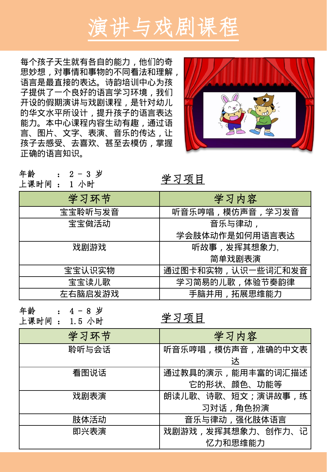

每个孩子天生就有各自的能力,他们的奇 思妙想,对事情和事物的不同看法和理解, 语言是最直接的表达。诗韵培训中心为孩 子提供了一个良好的语言学习环境,我们 开设的假期演讲与戏剧课程,是针对幼儿 的华文水平所设计,提升孩子的语言表达 能力。本中心课程内容生动有趣,通过语 言、图片、文字、表演、音乐的传达,让 孩子去感受、去喜欢、甚至去模仿,掌握 正确的语言知识。



| 年龄          | $\therefore$ 2 - 3 岁 | 学习项目 |
|-------------|----------------------|------|
| 上课时间 : 1 小时 |                      |      |

| 学习环节    | 学习内容               |
|---------|--------------------|
| 宝宝聆听与发音 | 听音乐哼唱, 模仿声音, 学习发音  |
| 宝宝做活动   | 音乐与律动,             |
|         | 学会肢体动作是如何用语言表达     |
| 戏剧游戏    | 听故事,发挥其想象力,        |
|         | 简单戏剧表演             |
| 宝宝认识实物  | 通过图卡和实物, 认识一些词汇和发音 |
| 宝宝读儿歌   | 学习简易的儿歌, 体验节奏韵律    |
| 左右脑启发游戏 | 手脑并用,拓展思维能力        |

年龄 : 4 - 8 岁 上课时间 : 1.5 小时

学习项目

| 学习环节  | 学习内容              |
|-------|-------------------|
| 聆听与会话 | 听音乐哼唱,模仿声音,准确的中文表 |
|       | 达                 |
| 看图说话  | 通过教具的演示,能用丰富的词汇描述 |
|       | 它的形状、颜色、功能等       |
| 戏剧表演  | 朗读儿歌、诗歌、短文;演讲故事,练 |
|       | 习对话,角色扮演          |
| 肢体活动  | 音乐与律动,强化肢体语言      |
| 即兴表演  | 戏剧游戏,发挥其想象力、创作力、记 |
|       | 忆力和思维能力           |